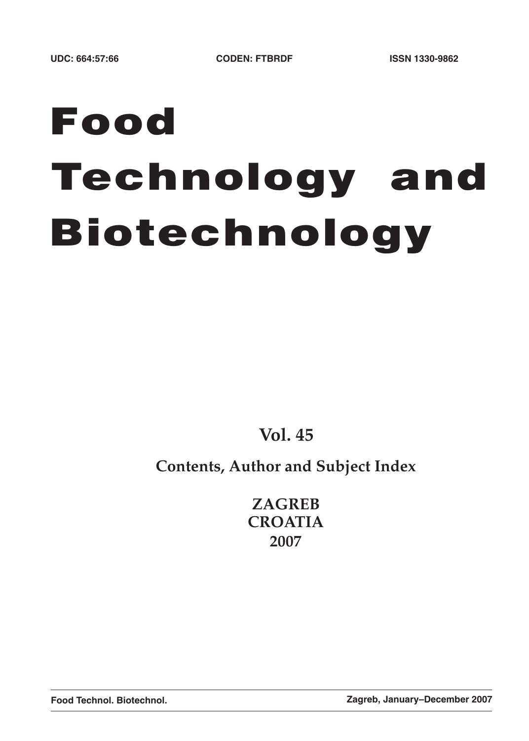# **Food Technology and Biotechnology**

**Vol. 45**

## **Contents, Author and Subject Index**

**ZAGREB CROATIA 2007**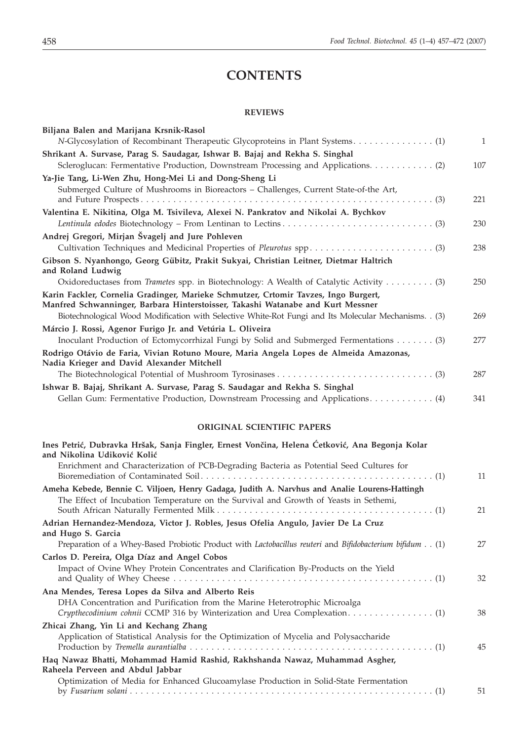## **CONTENTS**

#### **REVIEWS**

| Biljana Balen and Marijana Krsnik-Rasol                                                                                                                                |              |
|------------------------------------------------------------------------------------------------------------------------------------------------------------------------|--------------|
| N-Glycosylation of Recombinant Therapeutic Glycoproteins in Plant Systems (1)                                                                                          | $\mathbf{1}$ |
| Shrikant A. Survase, Parag S. Saudagar, Ishwar B. Bajaj and Rekha S. Singhal                                                                                           |              |
| Scleroglucan: Fermentative Production, Downstream Processing and Applications. (2)                                                                                     | 107          |
| Ya-Jie Tang, Li-Wen Zhu, Hong-Mei Li and Dong-Sheng Li                                                                                                                 |              |
| Submerged Culture of Mushrooms in Bioreactors - Challenges, Current State-of-the Art,                                                                                  | 221          |
| Valentina E. Nikitina, Olga M. Tsivileva, Alexei N. Pankratov and Nikolai A. Bychkov                                                                                   |              |
|                                                                                                                                                                        | 230          |
| Andrej Gregori, Mirjan Švagelj and Jure Pohleven                                                                                                                       |              |
|                                                                                                                                                                        | 238          |
| Gibson S. Nyanhongo, Georg Gübitz, Prakit Sukyai, Christian Leitner, Dietmar Haltrich<br>and Roland Ludwig                                                             |              |
| Oxidoreductases from Trametes spp. in Biotechnology: A Wealth of Catalytic Activity (3)                                                                                | 250          |
| Karin Fackler, Cornelia Gradinger, Marieke Schmutzer, Crtomir Tavzes, Ingo Burgert,<br>Manfred Schwanninger, Barbara Hinterstoisser, Takashi Watanabe and Kurt Messner |              |
| Biotechnological Wood Modification with Selective White-Rot Fungi and Its Molecular Mechanisms. . (3)                                                                  | 269          |
| Márcio J. Rossi, Agenor Furigo Jr. and Vetúria L. Oliveira                                                                                                             |              |
| Inoculant Production of Ectomycorrhizal Fungi by Solid and Submerged Fermentations (3)                                                                                 | 277          |
| Rodrigo Otávio de Faria, Vivian Rotuno Moure, Maria Angela Lopes de Almeida Amazonas,<br>Nadia Krieger and David Alexander Mitchell                                    |              |
|                                                                                                                                                                        | 287          |
| Ishwar B. Bajaj, Shrikant A. Survase, Parag S. Saudagar and Rekha S. Singhal                                                                                           |              |
| Gellan Gum: Fermentative Production, Downstream Processing and Applications. (4)                                                                                       | 341          |

### **ORIGINAL SCIENTIFIC PAPERS**

| Ines Petrić, Dubravka Hršak, Sanja Fingler, Ernest Vončina, Helena Ćetković, Ana Begonja Kolar<br>and Nikolina Udiković Kolić                                                                                        |    |
|----------------------------------------------------------------------------------------------------------------------------------------------------------------------------------------------------------------------|----|
| Enrichment and Characterization of PCB-Degrading Bacteria as Potential Seed Cultures for                                                                                                                             | 11 |
| Ameha Kebede, Bennie C. Viljoen, Henry Gadaga, Judith A. Narvhus and Analie Lourens-Hattingh<br>The Effect of Incubation Temperature on the Survival and Growth of Yeasts in Sethemi,                                | 21 |
| Adrian Hernandez-Mendoza, Victor J. Robles, Jesus Ofelia Angulo, Javier De La Cruz<br>and Hugo S. Garcia<br>Preparation of a Whey-Based Probiotic Product with Lactobacillus reuteri and Bifidobacterium bifidum (1) | 27 |
| Carlos D. Pereira, Olga Díaz and Angel Cobos<br>Impact of Ovine Whey Protein Concentrates and Clarification By-Products on the Yield                                                                                 | 32 |
| Ana Mendes, Teresa Lopes da Silva and Alberto Reis<br>DHA Concentration and Purification from the Marine Heterotrophic Microalga<br>Crypthecodinium colmii CCMP 316 by Winterization and Urea Complexation(1)        | 38 |
| Zhicai Zhang, Yin Li and Kechang Zhang<br>Application of Statistical Analysis for the Optimization of Mycelia and Polysaccharide                                                                                     | 45 |
| Haq Nawaz Bhatti, Mohammad Hamid Rashid, Rakhshanda Nawaz, Muhammad Asgher,<br>Raheela Perveen and Abdul Jabbar                                                                                                      |    |
| Optimization of Media for Enhanced Glucoamylase Production in Solid-State Fermentation                                                                                                                               | 51 |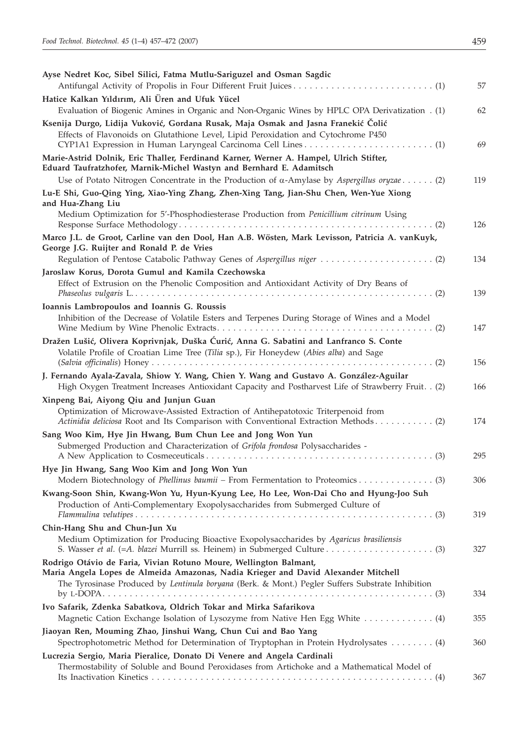| Ayse Nedret Koc, Sibel Silici, Fatma Mutlu-Sariguzel and Osman Sagdic                                                                                                                                                                                       |     |
|-------------------------------------------------------------------------------------------------------------------------------------------------------------------------------------------------------------------------------------------------------------|-----|
|                                                                                                                                                                                                                                                             | 57  |
| Hatice Kalkan Yıldırım, Ali Üren and Ufuk Yücel                                                                                                                                                                                                             |     |
| Evaluation of Biogenic Amines in Organic and Non-Organic Wines by HPLC OPA Derivatization . (1)                                                                                                                                                             | 62  |
| Ksenija Durgo, Lidija Vuković, Gordana Rusak, Maja Osmak and Jasna Franekić Čolić                                                                                                                                                                           |     |
| Effects of Flavonoids on Glutathione Level, Lipid Peroxidation and Cytochrome P450                                                                                                                                                                          |     |
|                                                                                                                                                                                                                                                             | 69  |
| Marie-Astrid Dolnik, Eric Thaller, Ferdinand Karner, Werner A. Hampel, Ulrich Stifter,<br>Eduard Taufratzhofer, Marnik-Michel Wastyn and Bernhard E. Adamitsch                                                                                              |     |
| Use of Potato Nitrogen Concentrate in the Production of $\alpha$ -Amylase by Aspergillus oryzae(2)                                                                                                                                                          | 119 |
| Lu-E Shi, Guo-Qing Ying, Xiao-Ying Zhang, Zhen-Xing Tang, Jian-Shu Chen, Wen-Yue Xiong<br>and Hua-Zhang Liu                                                                                                                                                 |     |
| Medium Optimization for 5'-Phosphodiesterase Production from Penicillium citrinum Using                                                                                                                                                                     | 126 |
| Marco J.L. de Groot, Carline van den Dool, Han A.B. Wösten, Mark Levisson, Patricia A. vanKuyk,<br>George J.G. Ruijter and Ronald P. de Vries                                                                                                               |     |
|                                                                                                                                                                                                                                                             | 134 |
| Jaroslaw Korus, Dorota Gumul and Kamila Czechowska                                                                                                                                                                                                          |     |
| Effect of Extrusion on the Phenolic Composition and Antioxidant Activity of Dry Beans of                                                                                                                                                                    |     |
|                                                                                                                                                                                                                                                             | 139 |
| Ioannis Lambropoulos and Ioannis G. Roussis                                                                                                                                                                                                                 |     |
| Inhibition of the Decrease of Volatile Esters and Terpenes During Storage of Wines and a Model                                                                                                                                                              | 147 |
| Dražen Lušić, Olivera Koprivnjak, Duška Ćurić, Anna G. Sabatini and Lanfranco S. Conte<br>Volatile Profile of Croatian Lime Tree (Tilia sp.), Fir Honeydew (Abies alba) and Sage                                                                            |     |
|                                                                                                                                                                                                                                                             | 156 |
| J. Fernando Ayala-Zavala, Shiow Y. Wang, Chien Y. Wang and Gustavo A. González-Aguilar<br>High Oxygen Treatment Increases Antioxidant Capacity and Postharvest Life of Strawberry Fruit. . (2)                                                              | 166 |
| Xinpeng Bai, Aiyong Qiu and Junjun Guan                                                                                                                                                                                                                     |     |
| Optimization of Microwave-Assisted Extraction of Antihepatotoxic Triterpenoid from<br>Actinidia deliciosa Root and Its Comparison with Conventional Extraction Methods(2)                                                                                   | 174 |
| Sang Woo Kim, Hye Jin Hwang, Bum Chun Lee and Jong Won Yun                                                                                                                                                                                                  |     |
| Submerged Production and Characterization of Grifola frondosa Polysaccharides -                                                                                                                                                                             | 295 |
| Hye Jin Hwang, Sang Woo Kim and Jong Won Yun                                                                                                                                                                                                                | 306 |
| Kwang-Soon Shin, Kwang-Won Yu, Hyun-Kyung Lee, Ho Lee, Won-Dai Cho and Hyung-Joo Suh                                                                                                                                                                        |     |
| Production of Anti-Complementary Exopolysaccharides from Submerged Culture of                                                                                                                                                                               |     |
|                                                                                                                                                                                                                                                             | 319 |
| Chin-Hang Shu and Chun-Jun Xu                                                                                                                                                                                                                               |     |
| Medium Optimization for Producing Bioactive Exopolysaccharides by Agaricus brasiliensis                                                                                                                                                                     | 327 |
| Rodrigo Otávio de Faria, Vivian Rotuno Moure, Wellington Balmant,<br>Maria Angela Lopes de Almeida Amazonas, Nadia Krieger and David Alexander Mitchell<br>The Tyrosinase Produced by Lentinula boryana (Berk. & Mont.) Pegler Suffers Substrate Inhibition |     |
|                                                                                                                                                                                                                                                             | 334 |
| Ivo Safarik, Zdenka Sabatkova, Oldrich Tokar and Mirka Safarikova                                                                                                                                                                                           |     |
| Magnetic Cation Exchange Isolation of Lysozyme from Native Hen Egg White  (4)                                                                                                                                                                               | 355 |
| Jiaoyan Ren, Mouming Zhao, Jinshui Wang, Chun Cui and Bao Yang                                                                                                                                                                                              |     |
| Spectrophotometric Method for Determination of Tryptophan in Protein Hydrolysates (4)                                                                                                                                                                       | 360 |
| Lucrezia Sergio, Maria Pieralice, Donato Di Venere and Angela Cardinali                                                                                                                                                                                     |     |
| Thermostability of Soluble and Bound Peroxidases from Artichoke and a Mathematical Model of                                                                                                                                                                 | 367 |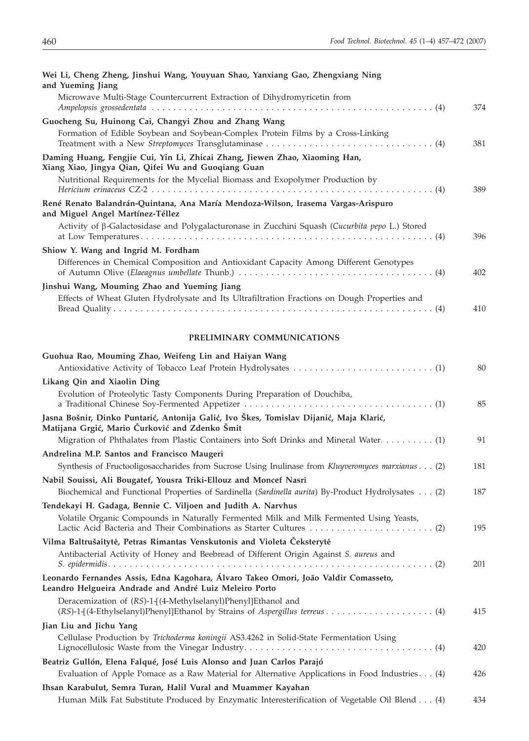| Wei Li, Cheng Zheng, Jinshui Wang, Youyuan Shao, Yanxiang Gao, Zhengxiang Ning<br>and Yueming Jiang                                                             |     |
|-----------------------------------------------------------------------------------------------------------------------------------------------------------------|-----|
| Microwave Multi-Stage Countercurrent Extraction of Dihydromyricetin from                                                                                        |     |
|                                                                                                                                                                 | 374 |
| Guocheng Su, Huinong Cai, Changyi Zhou and Zhang Wang                                                                                                           |     |
| Formation of Edible Soybean and Soybean-Complex Protein Films by a Cross-Linking                                                                                | 381 |
| Daming Huang, Fengjie Cui, Yin Li, Zhicai Zhang, Jiewen Zhao, Xiaoming Han,<br>Xiang Xiao, Jingya Qian, Qifei Wu and Guoqiang Guan                              |     |
| Nutritional Requirements for the Mycelial Biomass and Exopolymer Production by                                                                                  | 389 |
| René Renato Balandrán-Quintana, Ana María Mendoza-Wilson, Irasema Vargas-Arispuro<br>and Miguel Angel Martínez-Téllez                                           |     |
| Activity of $\beta$ -Galactosidase and Polygalacturonase in Zucchini Squash (Cucurbita pepo L.) Stored                                                          | 396 |
| Shiow Y. Wang and Ingrid M. Fordham                                                                                                                             |     |
| Differences in Chemical Composition and Antioxidant Capacity Among Different Genotypes                                                                          |     |
|                                                                                                                                                                 | 402 |
| Jinshui Wang, Mouming Zhao and Yueming Jiang                                                                                                                    |     |
| Effects of Wheat Gluten Hydrolysate and Its Ultrafiltration Fractions on Dough Properties and                                                                   | 410 |
| PRELIMINARY COMMUNICATIONS                                                                                                                                      |     |
| Guohua Rao, Mouming Zhao, Weifeng Lin and Haiyan Wang                                                                                                           |     |
|                                                                                                                                                                 | 80  |
| Likang Qin and Xiaolin Ding                                                                                                                                     |     |
| Evolution of Proteolytic Tasty Components During Preparation of Douchiba,                                                                                       | 85  |
| Jasna Bošnir, Dinko Puntarić, Antonija Galić, Ivo Škes, Tomislav Dijanić, Maja Klarić,<br>Matijana Grgić, Mario Čurković and Zdenko Šmit                        |     |
| Migration of Phthalates from Plastic Containers into Soft Drinks and Mineral Water (1)                                                                          | 91  |
| Andrelina M.P. Santos and Francisco Maugeri                                                                                                                     |     |
| Synthesis of Fructooligosaccharides from Sucrose Using Inulinase from Kluyveromyces marxianus (2)                                                               | 181 |
| Nabil Souissi, Ali Bougatef, Yousra Triki-Ellouz and Moncef Nasri                                                                                               |     |
| Biochemical and Functional Properties of Sardinella (Sardinella aurita) By-Product Hydrolysates (2)                                                             | 187 |
| Tendekayi H. Gadaga, Bennie C. Viljoen and Judith A. Narvhus                                                                                                    |     |
| Volatile Organic Compounds in Naturally Fermented Milk and Milk Fermented Using Yeasts,                                                                         | 195 |
| Vilma Baltrušaitytė, Petras Rimantas Venskutonis and Violeta Čeksterytė                                                                                         |     |
| Antibacterial Activity of Honey and Beebread of Different Origin Against S. aureus and                                                                          | 201 |
| Leonardo Fernandes Assis, Edna Kagohara, Álvaro Takeo Omori, João Valdir Comasseto,<br>Leandro Helgueira Andrade and André Luiz Meleiro Porto                   |     |
| Deracemization of (RS)-1-[(4-Methylselanyl)Phenyl]Ethanol and                                                                                                   | 415 |
| Jian Liu and Jichu Yang                                                                                                                                         |     |
| Cellulase Production by Trichoderma koningii AS3.4262 in Solid-State Fermentation Using                                                                         | 420 |
| Beatriz Gullón, Elena Falqué, José Luis Alonso and Juan Carlos Parajó                                                                                           |     |
| Evaluation of Apple Pomace as a Raw Material for Alternative Applications in Food Industries. (4)                                                               | 426 |
| Ihsan Karabulut, Semra Turan, Halil Vural and Muammer Kayahan<br>Human Milk Fat Substitute Produced by Enzymatic Interesterification of Vegetable Oil Blend (4) | 434 |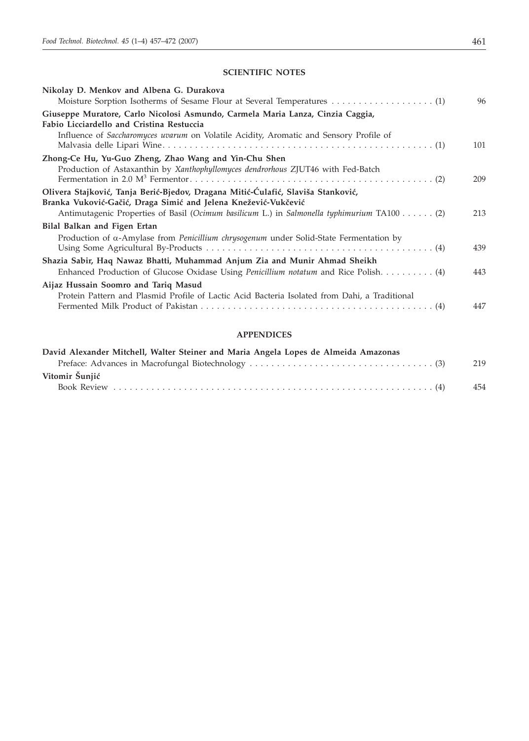#### **SCIENTIFIC NOTES**

| Nikolay D. Menkov and Albena G. Durakova                                                                                                           |     |
|----------------------------------------------------------------------------------------------------------------------------------------------------|-----|
|                                                                                                                                                    | 96  |
| Giuseppe Muratore, Carlo Nicolosi Asmundo, Carmela Maria Lanza, Cinzia Caggia,<br>Fabio Licciardello and Cristina Restuccia                        |     |
| Influence of Saccharomyces uvarum on Volatile Acidity, Aromatic and Sensory Profile of                                                             | 101 |
| Zhong-Ce Hu, Yu-Guo Zheng, Zhao Wang and Yin-Chu Shen                                                                                              |     |
| Production of Astaxanthin by Xanthophyllomyces dendrorhous ZJUT46 with Fed-Batch                                                                   | 209 |
| Olivera Stajković, Tanja Berić-Bjedov, Dragana Mitić-Ćulafić, Slaviša Stanković,<br>Branka Vuković-Gačić, Draga Simić and Jelena Knežević-Vukčević |     |
| Antimutagenic Properties of Basil (Ocimum basilicum L.) in Salmonella typhimurium TA100 (2)                                                        | 213 |
| Bilal Balkan and Figen Ertan                                                                                                                       |     |
| Production of $\alpha$ -Amylase from <i>Penicillium chrysogenum</i> under Solid-State Fermentation by                                              | 439 |
| Shazia Sabir, Haq Nawaz Bhatti, Muhammad Anjum Zia and Munir Ahmad Sheikh                                                                          |     |
| Enhanced Production of Glucose Oxidase Using Penicillium notatum and Rice Polish (4)                                                               | 443 |
| Aijaz Hussain Soomro and Tariq Masud                                                                                                               |     |
| Protein Pattern and Plasmid Profile of Lactic Acid Bacteria Isolated from Dahi, a Traditional                                                      | 447 |
|                                                                                                                                                    |     |

### **APPENDICES**

| David Alexander Mitchell, Walter Steiner and Maria Angela Lopes de Almeida Amazonas |     |
|-------------------------------------------------------------------------------------|-----|
|                                                                                     | 219 |
| Vitomir Šunjić                                                                      |     |
|                                                                                     | 454 |
|                                                                                     |     |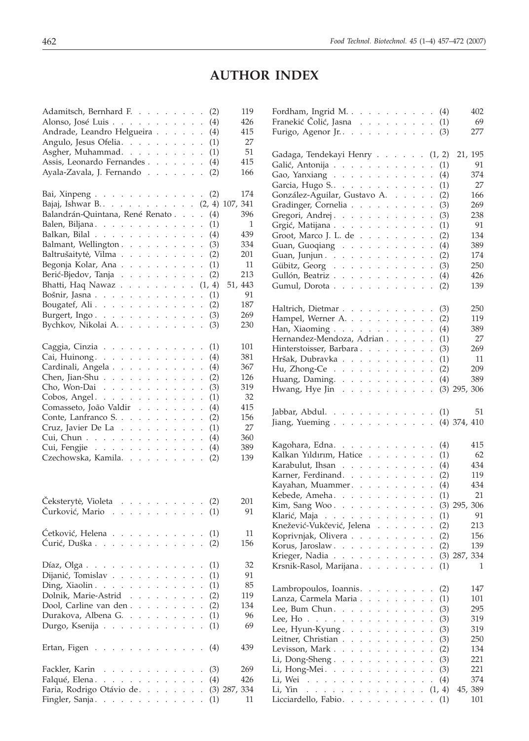## **AUTHOR INDEX**

| Adamitsch, Bernhard F.<br>(2)                                                                                          | 119            |
|------------------------------------------------------------------------------------------------------------------------|----------------|
| Alonso, José Luis<br>(4)                                                                                               | 426            |
| Andrade, Leandro Helgueira<br>(4)                                                                                      | 415            |
| Angulo, Jesus Ofelia.<br>(1)<br>$\ddot{\phantom{0}}$                                                                   | 27             |
| Asgher, Muhammad.<br>(1)                                                                                               | 51             |
| Assis, Leonardo Fernandes<br>(4)                                                                                       | 415            |
| Ayala-Zavala, J. Fernando<br>(2)<br>$\cdot$                                                                            | 166            |
|                                                                                                                        |                |
|                                                                                                                        |                |
| Bai, Xinpeng<br>(2)<br>$\Box$                                                                                          | 174            |
| Bajaj, Ishwar B. (2, 4)                                                                                                | 341<br>107,    |
| Balandrán-Quintana, René Renato<br>(4)<br>$\sim$<br>$\mathcal{L}^{\mathcal{L}}$                                        | 396            |
| Balen, Biljana.<br>(1)                                                                                                 | 1              |
| Balkan, Bilal<br>(4)<br>$\ddot{\phantom{0}}$                                                                           | 439            |
| Balmant, Wellington<br>(3)<br>$\ddot{\phantom{0}}$                                                                     | 334            |
| Baltrušaitytė, Vilma<br>(2)<br>$\ddot{\phantom{0}}$                                                                    | 201            |
| Begonja Kolar, Ana<br>(1)<br>$\mathbf{1}=\mathbf{1}$ .<br>$\cdot$<br>$\ddot{\phantom{0}}$                              | 11             |
| Berić-Bjedov, Tanja<br>(2)<br>$\ddot{\phantom{0}}$<br>¥.                                                               | 213            |
| Bhatti, Haq Nawaz<br>(1, 4)<br>$\mathcal{L}^{\text{max}}$ and $\mathcal{L}^{\text{max}}$<br>$\ddot{\phantom{0}}$       | 51, 443        |
| Bošnir, Jasna<br>(1)<br>$\ddot{\phantom{0}}$                                                                           | 91             |
| Bougatef, Ali.<br>(2)<br>$\cdot$                                                                                       | 187            |
| Burgert, $Ingo.$<br>(3)<br>$\mathcal{L}^{\text{c}}$ , $\mathcal{L}^{\text{c}}$ , $\mathcal{L}^{\text{c}}$              | 269            |
| Bychkov, Nikolai A.<br>(3)                                                                                             | 230            |
|                                                                                                                        |                |
| Caggia, Cinzia<br>(1)                                                                                                  | 101            |
| (4)                                                                                                                    | 381            |
| $\ddot{\phantom{0}}$                                                                                                   |                |
| Cardinali, Angela<br>(4)                                                                                               | 367            |
| Chen, Jian-Shu<br>(2)<br>$\mathcal{L}^{\text{max}}$<br>$\mathcal{L}^{\pm}$                                             | 126            |
| Cho, Won-Dai<br>(3)<br>$\mathcal{L}^{\text{max}}$<br>$\ddot{\phantom{a}}$                                              | 319            |
| Cobos, Angel.<br>(1)<br>$\sim 10$ $\sim$                                                                               | 32             |
| Comasseto, João Valdir<br>(4)<br>$\cdot$                                                                               | 415            |
| Conte, Lanfranco S.<br>(2)<br>$\ddot{\phantom{0}}$                                                                     | 156            |
| Cruz, Javier De La<br>(1)<br>$\mathcal{L}^{\text{max}}$<br>$\ddot{\phantom{a}}$<br>$\ddot{\phantom{0}}$                | 27             |
| Cui, Chun<br>(4)<br>$\ddot{\phantom{a}}$                                                                               | 360            |
| Cui, Fengjie<br>(4)<br>and the contract of the contract of                                                             | 389            |
| Czechowska, Kamila.<br>(2)                                                                                             | 139            |
|                                                                                                                        |                |
|                                                                                                                        |                |
|                                                                                                                        |                |
| Čeksterytė, Violeta<br>(2)                                                                                             | 201            |
| and the contract of<br>Čurković, Mario.<br>and a state<br>(1)                                                          | 91             |
| $\ddot{\phantom{0}}$<br>$\ddot{\phantom{a}}$<br>$\sim$                                                                 |                |
|                                                                                                                        |                |
| Ćetković, Helena<br>$\cdots$ (1)                                                                                       | 11             |
| Ćurić, Duška<br>(2)                                                                                                    | 156            |
|                                                                                                                        |                |
| Díaz, Olga $\ldots$ .<br>(1)<br>$\ddot{\phantom{0}}$<br>$\cdot$                                                        | 32             |
| Dijanić, Tomislav.<br>(1)<br>$\mathcal{L} = \mathcal{L} = \mathcal{L} = \mathcal{L}$<br>$\ddot{\phantom{0}}$           | 91             |
| Ding, Xiaolin $\ldots$ $\ldots$ $\ldots$<br>(1)                                                                        | 85             |
| Dolnik, Marie-Astrid<br>(2)<br>$\ddot{\phantom{0}}$<br>$\ddot{\phantom{a}}$                                            | 119            |
| Dool, Carline van den.<br>(2)<br>$\mathbf{L} = \mathbf{L} \times \mathbf{L}$<br>$\ddot{\phantom{a}}$<br>$\overline{a}$ | 134            |
| Durakova, Albena G<br>(1)<br>$\ddot{\phantom{a}}$                                                                      | 96             |
| Durgo, Ksenija.<br>(1)<br>and the state of the state of the<br>$\ddot{\phantom{0}}$<br>$\ddot{\phantom{0}}$            | 69             |
|                                                                                                                        |                |
|                                                                                                                        |                |
| Ertan, Figen<br>(4)<br>$\overline{\phantom{a}}$<br>$\sim$ $\sim$ $\sim$ $\sim$ $\sim$                                  | 439            |
|                                                                                                                        |                |
| Fackler, Karin<br>(3)<br>and the contract of the                                                                       | 269            |
| Falqué, Elena.<br>(4)<br>$\ddot{\phantom{0}}$                                                                          | 426            |
| Faria, Rodrigo Otávio de<br>$\ddot{\phantom{0}}$<br>$\mathbf{r}$<br>$\mathbf{r}$<br>$\ddot{\phantom{a}}$               | $(3)$ 287, 334 |
| Fingler, Sanja.<br>(1)                                                                                                 | 11             |

| Fordham, Ingrid M. $(4)$                                                                                  |                   |                      |                      |                                                                                                           |                                                                 |                      |                                       |                      |        | 402            |
|-----------------------------------------------------------------------------------------------------------|-------------------|----------------------|----------------------|-----------------------------------------------------------------------------------------------------------|-----------------------------------------------------------------|----------------------|---------------------------------------|----------------------|--------|----------------|
| Franekić Čolić, Jasna (1)                                                                                 |                   |                      |                      |                                                                                                           |                                                                 |                      |                                       |                      |        | 69             |
| Furigo, Agenor Jr. (3)                                                                                    |                   |                      |                      |                                                                                                           |                                                                 |                      |                                       |                      |        | 277            |
| Gadaga, Tendekayi Henry (1, 2)                                                                            |                   |                      |                      |                                                                                                           |                                                                 |                      |                                       |                      |        | 21, 195        |
| Galić, Antonija                                                                                           |                   |                      |                      |                                                                                                           |                                                                 |                      |                                       |                      | (1)    | 91             |
| Gao, Yanxiang $\ldots$ $\ldots$ $\ldots$ $\ldots$                                                         |                   |                      |                      |                                                                                                           |                                                                 |                      |                                       | $\ddot{\phantom{0}}$ | (4)    | 374            |
| Garcia, Hugo S.                                                                                           |                   |                      |                      |                                                                                                           |                                                                 |                      |                                       |                      | (1)    | 27             |
| González-Aguilar, Gustavo A.                                                                              |                   |                      |                      |                                                                                                           |                                                                 |                      |                                       |                      | (2)    | 166            |
| Gradinger, Cornelia                                                                                       |                   |                      |                      |                                                                                                           |                                                                 |                      |                                       |                      | (3)    | 269            |
| Gregori, Andrej.                                                                                          |                   |                      |                      |                                                                                                           |                                                                 |                      |                                       |                      | (3)    | 238            |
| Grgić, Matijana                                                                                           |                   |                      |                      |                                                                                                           |                                                                 |                      |                                       | $\ddot{\phantom{0}}$ | (1)    | 91             |
| Groot, Marco J. L. de                                                                                     |                   |                      |                      |                                                                                                           |                                                                 |                      |                                       | $\ddot{\phantom{a}}$ | (2)    | 134            |
| Guan, Guoqiang                                                                                            |                   |                      |                      |                                                                                                           |                                                                 |                      |                                       |                      | (4)    | 389            |
| Guan, Junjun.                                                                                             |                   |                      |                      |                                                                                                           |                                                                 |                      |                                       |                      | (2)    | 174            |
| Gübitz, Georg                                                                                             |                   |                      |                      |                                                                                                           |                                                                 |                      |                                       |                      | (3)    | 250            |
| Gullón, Beatriz                                                                                           |                   |                      |                      |                                                                                                           |                                                                 |                      |                                       | $\ddot{\phantom{0}}$ | (4)    | 426            |
| Gumul, Dorota                                                                                             |                   |                      |                      |                                                                                                           |                                                                 |                      |                                       |                      | (2)    | 139            |
|                                                                                                           |                   |                      |                      |                                                                                                           |                                                                 |                      |                                       |                      |        |                |
| Haltrich, Dietmar.                                                                                        |                   |                      |                      |                                                                                                           |                                                                 |                      |                                       |                      | (3)    | 250            |
| Hampel, Werner A.                                                                                         |                   |                      |                      |                                                                                                           |                                                                 |                      |                                       |                      | (2)    | 119            |
| Han, Xiaoming                                                                                             |                   |                      |                      |                                                                                                           |                                                                 |                      |                                       |                      | (4)    | 389            |
| Hernandez-Mendoza, Adrian                                                                                 |                   |                      |                      |                                                                                                           |                                                                 |                      |                                       |                      | (1)    | 27             |
| Hinterstoisser, Barbara.                                                                                  |                   |                      |                      |                                                                                                           |                                                                 |                      |                                       |                      | (3)    | 269            |
| Hršak, Dubravka                                                                                           |                   |                      |                      |                                                                                                           |                                                                 |                      |                                       |                      | (1)    | 11             |
| Hu, Zhong-Ce $\ldots$ , $\ldots$ , $\ldots$                                                               |                   |                      |                      |                                                                                                           |                                                                 |                      |                                       |                      | (2)    | 209            |
| Huang, Daming.                                                                                            |                   |                      |                      |                                                                                                           |                                                                 |                      |                                       |                      | (4)    | 389            |
| Hwang, Hye Jin                                                                                            |                   |                      |                      |                                                                                                           |                                                                 |                      |                                       |                      |        | $(3)$ 295, 306 |
|                                                                                                           |                   |                      |                      |                                                                                                           |                                                                 |                      |                                       |                      |        |                |
| Jabbar, Abdul. $\ldots$ $\ldots$ $\ldots$ $\ldots$ $\ldots$ (1)                                           |                   |                      |                      |                                                                                                           |                                                                 |                      |                                       |                      |        | 51             |
| Jiang, Yueming (4) 374, 410                                                                               |                   |                      |                      |                                                                                                           |                                                                 |                      |                                       |                      |        |                |
| Kagohara, Edna.                                                                                           |                   |                      |                      |                                                                                                           |                                                                 |                      |                                       |                      | (4)    | 415            |
| Kalkan Yıldırım, Hatice                                                                                   |                   |                      |                      |                                                                                                           |                                                                 |                      |                                       |                      | (1)    | 62             |
| Karabulut, Ihsan                                                                                          |                   |                      |                      |                                                                                                           |                                                                 |                      |                                       |                      | (4)    | 434            |
| Karner, Ferdinand.                                                                                        |                   |                      |                      |                                                                                                           |                                                                 |                      |                                       |                      | (2)    | 119            |
| Kayahan, Muammer.                                                                                         |                   |                      |                      |                                                                                                           |                                                                 |                      |                                       |                      | (4)    | 434            |
| Kebede, Ameha.                                                                                            |                   |                      |                      |                                                                                                           |                                                                 |                      |                                       |                      | (1)    | 21             |
| Kim, Sang Woo.                                                                                            |                   |                      |                      |                                                                                                           |                                                                 |                      |                                       |                      |        | $(3)$ 295, 306 |
| Klarić, Maja                                                                                              |                   |                      |                      |                                                                                                           |                                                                 |                      |                                       |                      | (1)    | 91             |
| Knežević-Vukčević, Jelena (2)                                                                             |                   |                      |                      |                                                                                                           |                                                                 |                      |                                       |                      |        | 213            |
| Koprivnjak, Olivera                                                                                       |                   |                      |                      |                                                                                                           |                                                                 |                      |                                       |                      | (2)    | 156            |
| Korus, Jaroslaw                                                                                           |                   |                      |                      | $\mathcal{L}^{\pm}$                                                                                       | $\mathbb{Z}^{\times}$                                           |                      | $\mathcal{L}^{\text{max}}$            |                      | (2)    | 139            |
| Krieger, Nadia                                                                                            |                   |                      | $\ddot{\phantom{0}}$ | $\ddot{\phantom{0}}$                                                                                      | $\ddot{\phantom{0}}$                                            | $\mathbf{L}$         |                                       | $\ddot{\phantom{0}}$ |        | $(3)$ 287, 334 |
| Krsnik-Rasol, Marijana                                                                                    |                   |                      | $\sim$               | $\ddot{\phantom{a}}$                                                                                      | $\sim$                                                          | $\ddot{\phantom{a}}$ | $\mathcal{L}^{\mathcal{L}}$<br>$\sim$ | $\ddot{\phantom{a}}$ | (1)    | 1              |
|                                                                                                           |                   |                      |                      |                                                                                                           |                                                                 |                      |                                       |                      |        |                |
| Lambropoulos, Ioannis.                                                                                    |                   |                      |                      |                                                                                                           |                                                                 |                      |                                       |                      | (2)    | 147            |
| Lanza, Carmela Maria                                                                                      |                   |                      | $\mathbf{r}$         |                                                                                                           | $\mathbf{L}$                                                    |                      |                                       | $\ddot{\phantom{a}}$ | (1)    | 101            |
| Lee, Bum Chun.                                                                                            |                   |                      | $\ddot{\phantom{0}}$ | $\ddot{\phantom{0}}$                                                                                      | $\ddot{\phantom{0}}$                                            | $\ddot{\phantom{0}}$ |                                       | $\ddot{\phantom{0}}$ | (3)    | 295            |
| Lee, $Ho \ldots \ldots \ldots$                                                                            |                   |                      | $\ddot{\phantom{0}}$ | $\ddot{\phantom{0}}$                                                                                      | $\ddot{\phantom{0}}$                                            |                      |                                       | $\ddot{\phantom{0}}$ | (3)    | 319            |
| Lee, Hyun-Kyung.<br>$\mathcal{L}^{\pm}$ , $\mathcal{L}^{\pm}$ , $\mathcal{L}^{\pm}$ , $\mathcal{L}^{\pm}$ |                   |                      | $\ddot{\phantom{0}}$ | $\ddot{\phantom{a}}$                                                                                      | $\ddot{\phantom{0}}$                                            |                      | $\ddot{\phantom{0}}$                  |                      | (3)    | 319            |
| Leitner, Christian.<br>$1 - 1 - 1 = 1$                                                                    |                   |                      | $\ddot{\phantom{a}}$ | $\ddot{\phantom{a}}$                                                                                      | $\ddot{\phantom{a}}$                                            |                      | $\ddot{\phantom{a}}$                  |                      | (3)    | 250            |
| Levisson, Mark<br>$\mathbf{L}$                                                                            | $\sim$ $\sim$     | $\ddot{\phantom{a}}$ | $\ddot{\phantom{a}}$ | $\ddot{\phantom{a}}$                                                                                      | $\ddot{\phantom{a}}$                                            |                      |                                       |                      | (2)    | 134            |
| Li, Dong-Sheng.<br>$\bar{a}$<br>$\sim$ $\sim$                                                             | $\ddots$          |                      | $\sim$               | ¥.                                                                                                        | $\mathbb{Z}^{\mathbb{Z}}$                                       | $\mathcal{L}^{\pm}$  | $\ddot{\phantom{0}}$                  | $\ddot{\phantom{0}}$ | (3)    | 221            |
| Li, Hong-Mei<br>$\mathcal{L}=\mathcal{L}$                                                                 | <b>Carl Andre</b> |                      |                      |                                                                                                           | $\mathcal{L}^{\pm}$ , $\mathcal{L}^{\pm}$ , $\mathcal{L}^{\pm}$ |                      | $\ddot{\phantom{0}}$                  | $\ddot{\phantom{0}}$ | (3)    | 221            |
| Li, Wei<br>and the state of the state of the                                                              |                   |                      |                      |                                                                                                           | $\mathcal{L}^{\pm}$ , $\mathcal{L}^{\pm}$ , $\mathcal{L}^{\pm}$ |                      | $\ddot{\phantom{a}}$                  |                      | (4)    | 374            |
| Li, Yin<br>$\ddot{\phantom{0}}$<br>and a state<br>$\mathbf{r}$<br>$\mathbf{r}$                            |                   |                      |                      | $\mathcal{L}^{\text{c}}$ , $\mathcal{L}^{\text{c}}$ , $\mathcal{L}^{\text{c}}$ , $\mathcal{L}^{\text{c}}$ |                                                                 | $\ddot{\phantom{0}}$ | $\ddot{\phantom{0}}$                  |                      | (1, 4) | 45, 389        |
| Licciardello, Fabio.                                                                                      |                   |                      |                      |                                                                                                           |                                                                 |                      |                                       | $\ddot{\phantom{0}}$ | (1)    | 101            |
|                                                                                                           |                   |                      |                      |                                                                                                           |                                                                 |                      |                                       |                      |        |                |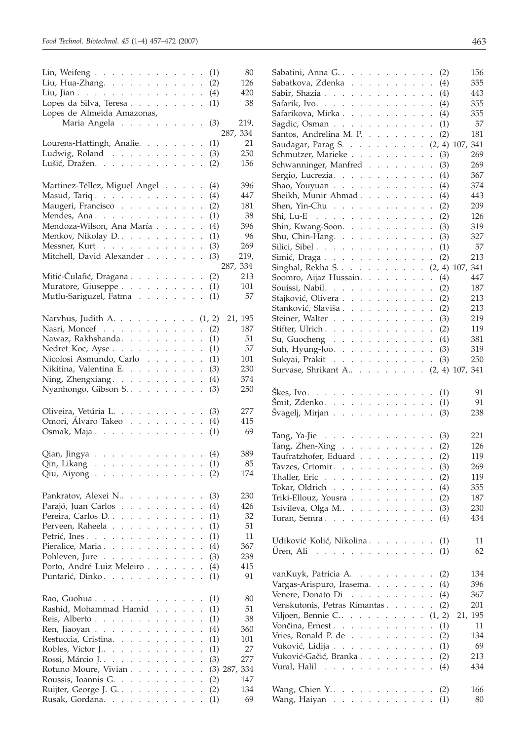| Lin, Weifeng                                                                                                                                                                                                                                                 |                      |                             |                                             |                             |                      | (1)    | 80                |
|--------------------------------------------------------------------------------------------------------------------------------------------------------------------------------------------------------------------------------------------------------------|----------------------|-----------------------------|---------------------------------------------|-----------------------------|----------------------|--------|-------------------|
| Liu, Hua-Zhang.                                                                                                                                                                                                                                              |                      |                             |                                             |                             |                      | (2)    | 126               |
| Liu, Jian.                                                                                                                                                                                                                                                   |                      |                             |                                             |                             |                      | (4)    | 420               |
| Lopes da Silva, Teresa                                                                                                                                                                                                                                       |                      |                             |                                             |                             |                      |        | 38                |
|                                                                                                                                                                                                                                                              |                      |                             |                                             |                             |                      | (1)    |                   |
| Lopes de Almeida Amazonas,                                                                                                                                                                                                                                   |                      |                             |                                             |                             |                      |        |                   |
| Maria Angela                                                                                                                                                                                                                                                 |                      |                             |                                             |                             |                      | (3)    | 219,              |
|                                                                                                                                                                                                                                                              |                      |                             |                                             |                             |                      |        | 287, 334          |
| Lourens-Hattingh, Analie.                                                                                                                                                                                                                                    |                      |                             |                                             |                             |                      | (1)    | 21                |
| Ludwig, Roland                                                                                                                                                                                                                                               |                      |                             |                                             |                             |                      | (3)    | 250               |
| Lušić, Dražen.                                                                                                                                                                                                                                               |                      |                             |                                             |                             |                      | (2)    | 156               |
|                                                                                                                                                                                                                                                              |                      |                             |                                             |                             |                      |        |                   |
| Martinez-Téllez, Miguel Angel                                                                                                                                                                                                                                |                      |                             |                                             |                             | $\ddot{\phantom{0}}$ | (4)    | 396               |
| Masud, Tariq.                                                                                                                                                                                                                                                |                      |                             |                                             |                             |                      | (4)    | 447               |
| Maugeri, Francisco                                                                                                                                                                                                                                           |                      |                             |                                             | $\mathcal{L}^{\text{max}}$  | $\ddot{\phantom{0}}$ | (2)    | 181               |
| Mendes, Ana.                                                                                                                                                                                                                                                 |                      |                             |                                             | $\mathcal{L}^{\text{max}}$  | $\ddot{\phantom{0}}$ | (1)    | 38                |
| Mendoza-Wilson, Ana María                                                                                                                                                                                                                                    |                      |                             |                                             |                             | $\ddot{\phantom{0}}$ | (4)    | 396               |
| Menkov, Nikolay D.                                                                                                                                                                                                                                           |                      |                             |                                             |                             |                      | (1)    | 96                |
|                                                                                                                                                                                                                                                              |                      |                             |                                             |                             | $\ddot{\phantom{0}}$ |        | 269               |
| Messner, Kurt                                                                                                                                                                                                                                                |                      |                             | $2.12 - 2.12$                               |                             |                      | (3)    |                   |
| Mitchell, David Alexander                                                                                                                                                                                                                                    |                      |                             |                                             |                             | $\cdot$              | (3)    | 219,              |
|                                                                                                                                                                                                                                                              |                      |                             |                                             |                             |                      |        | 287, 334          |
| Mitić-Ćulafić, Dragana                                                                                                                                                                                                                                       |                      |                             |                                             |                             | $\ddot{\phantom{0}}$ | (2)    | 213               |
| Muratore, Giuseppe                                                                                                                                                                                                                                           |                      |                             |                                             |                             |                      | (1)    | 101               |
| Mutlu-Sariguzel, Fatma                                                                                                                                                                                                                                       |                      |                             |                                             |                             |                      | (1)    | 57                |
|                                                                                                                                                                                                                                                              |                      |                             |                                             |                             |                      |        |                   |
| Narvhus, Judith A. $\ldots$ $\ldots$ $\ldots$                                                                                                                                                                                                                |                      |                             |                                             |                             |                      | (1, 2) | 21, 195           |
| Nasri, Moncef                                                                                                                                                                                                                                                |                      |                             |                                             |                             |                      | (2)    | 187               |
|                                                                                                                                                                                                                                                              |                      |                             | $\mathcal{L}^{\mathcal{L}}$                 | $\mathcal{L}^{\mathcal{L}}$ | $\ddot{\phantom{0}}$ |        |                   |
| Nawaz, Rakhshanda.                                                                                                                                                                                                                                           |                      |                             |                                             |                             | $\ddot{\phantom{0}}$ | (1)    | 51                |
| Nedret Koc, Ayse                                                                                                                                                                                                                                             |                      |                             |                                             |                             | $\ddot{\phantom{0}}$ | (1)    | 57                |
| Nicolosi Asmundo, Carlo                                                                                                                                                                                                                                      |                      |                             |                                             |                             | $\ddot{\phantom{0}}$ | (1)    | 101               |
| Nikitina, Valentina E.                                                                                                                                                                                                                                       |                      |                             |                                             |                             |                      | (3)    | 230               |
| Ning, Zhengxiang.                                                                                                                                                                                                                                            |                      | $\mathcal{L}^{\mathcal{L}}$ | $\mathcal{L}^{\mathcal{L}}$                 | $\mathbb{Z}^{\times}$       | $\ddot{\phantom{0}}$ | (4)    | 374               |
| Nyanhongo, Gibson S.                                                                                                                                                                                                                                         |                      |                             |                                             |                             |                      | (3)    | 250               |
|                                                                                                                                                                                                                                                              |                      |                             |                                             |                             |                      |        |                   |
| Oliveira, Vetúria L.                                                                                                                                                                                                                                         |                      |                             |                                             |                             |                      | (3)    | 277               |
| Omori, Álvaro Takeo                                                                                                                                                                                                                                          |                      |                             |                                             |                             |                      | (4)    | 415               |
| Osmak, Maja                                                                                                                                                                                                                                                  |                      |                             |                                             |                             |                      | (1)    | 69                |
|                                                                                                                                                                                                                                                              |                      |                             |                                             |                             |                      |        |                   |
| Qian, Jingya (4)                                                                                                                                                                                                                                             |                      |                             |                                             |                             |                      |        | 389               |
|                                                                                                                                                                                                                                                              |                      |                             |                                             |                             |                      | (1)    | 85                |
| Qin, Likang $\ldots \ldots \ldots \ldots$                                                                                                                                                                                                                    |                      |                             |                                             |                             |                      |        | 174               |
| Qiu, Aiyong $\ldots$ $\ldots$ $\ldots$ $\ldots$ $\ldots$                                                                                                                                                                                                     |                      |                             |                                             |                             |                      | (2)    |                   |
|                                                                                                                                                                                                                                                              |                      |                             |                                             |                             |                      |        |                   |
| Pankratov, Alexei N                                                                                                                                                                                                                                          |                      |                             |                                             |                             |                      | (3)    | 230               |
| Parajó, Juan Carlos.<br><b>Contract Contract Contract Contract Contract Contract Contract Contract Contract Contract Contract Contract Contract Contract Contract Contract Contract Contract Contract Contract Contract Contract Contract Contract Contr</b> |                      |                             |                                             |                             |                      | (4)    | 426               |
| Pereira, Carlos D.<br>and a state<br>$\ddot{\phantom{0}}$                                                                                                                                                                                                    |                      |                             | $\mathcal{L}^{\pm}$                         | $\mathbb{Z}^2$              | $\ddot{\phantom{0}}$ | (1)    | 32                |
| Perveen, Raheela.<br>$\ddot{\phantom{0}}$<br>$\mathcal{L}^{\pm}$ , $\mathcal{L}^{\pm}$ , $\mathcal{L}^{\pm}$<br>$\ddot{\phantom{0}}$                                                                                                                         | $\ddot{\phantom{0}}$ | $\mathcal{L}^{\mathcal{L}}$ |                                             | $\sim 10^{-1}$              |                      | (1)    | 51                |
| Petrić, Ines.<br>$\mathbf{r}$<br>$\ddot{\phantom{0}}$<br>$\ddot{\phantom{0}}$<br>$\ddot{\phantom{a}}$<br>$\ddot{\phantom{0}}$                                                                                                                                | $\ddot{\phantom{a}}$ | $\mathbf{r}$                |                                             | $\mathbf{r}$                | $\ddot{\phantom{a}}$ | (1)    | 11                |
| Pieralice, Maria<br>$\sim$                                                                                                                                                                                                                                   | $\ddot{\phantom{a}}$ | $\mathbf{r}$                | $\sim$                                      |                             | $\ddot{\phantom{a}}$ | (4)    | 367               |
| Pohleven, Jure<br>$\ddot{\phantom{a}}$<br>$1 - 1 - 1$                                                                                                                                                                                                        | $\ddot{\phantom{a}}$ | $\mathbf{r}$                | $\ddot{\phantom{a}}$                        | $\ddot{\phantom{a}}$        | $\ddot{\phantom{0}}$ | (3)    | 238               |
| Porto, André Luiz Meleiro                                                                                                                                                                                                                                    |                      | $\mathcal{L}^{\pm}$         | $\ddot{\phantom{0}}$                        | $\ddot{\phantom{0}}$        | $\ddot{\phantom{a}}$ | (4)    | 415               |
| Puntarić, Dinko.                                                                                                                                                                                                                                             |                      |                             |                                             |                             |                      |        | 91                |
|                                                                                                                                                                                                                                                              | $\ddot{\phantom{a}}$ | $\ddot{\phantom{a}}$        |                                             | $\mathcal{L}^{\pm}$         |                      | (1)    |                   |
|                                                                                                                                                                                                                                                              |                      |                             |                                             |                             |                      |        |                   |
|                                                                                                                                                                                                                                                              |                      |                             |                                             |                             |                      | (1)    | 80                |
| Rashid, Mohammad Hamid                                                                                                                                                                                                                                       |                      | $\mathbf{r}$                |                                             | $\mathbf{r}$                | $\ddot{\phantom{0}}$ | (1)    | 51                |
| Reis, Alberto<br>$\ddot{\phantom{a}}$                                                                                                                                                                                                                        | $\ddot{\phantom{a}}$ | $\mathbf{r}$                |                                             | $\sim$                      | $\ddot{\phantom{0}}$ | (1)    | 38                |
| Ren, Jiaoyan                                                                                                                                                                                                                                                 | $\ddot{\phantom{a}}$ | $\ddot{\phantom{0}}$        | $\mathbf{r}$                                | $\ddot{\phantom{a}}$        | $\ddot{\phantom{0}}$ | (4)    | 360               |
| Restuccia, Cristina.<br>and a state of the                                                                                                                                                                                                                   | $\ddot{\phantom{0}}$ | $\ddot{\phantom{0}}$        | $\ddot{\phantom{0}}$                        | $\ddot{\phantom{a}}$        |                      | (1)    | 101               |
| Robles, Victor J<br>$\sim$                                                                                                                                                                                                                                   | $\ddot{\phantom{a}}$ | $\ddot{\phantom{a}}$        |                                             |                             |                      | (1)    | 27                |
| Rossi, Márcio J<br>$\mathbb{R}^{\mathbb{Z}}$<br>$\mathbb{R}^{\mathbb{Z}}$<br>$\mathcal{L}^{\pm}$<br>$\ddot{\phantom{a}}$                                                                                                                                     | $\ddot{\phantom{a}}$ | $\ddot{\phantom{a}}$        |                                             | $\ddot{\phantom{a}}$        | $\ddot{\phantom{a}}$ | (3)    | 277               |
| Rotuno Moure, Vivian.<br>$\sim$ $\sim$<br>$\sim$                                                                                                                                                                                                             | $\overline{a}$       | $\mathbf{r}$                | $\overline{a}$                              | $\sim$                      | $\ddot{\phantom{a}}$ |        | 334<br>$(3)$ 287, |
|                                                                                                                                                                                                                                                              |                      |                             |                                             |                             |                      |        | 147               |
| Roussis, Ioannis G.                                                                                                                                                                                                                                          |                      |                             | $\mathbf{L} = \mathbf{L} \times \mathbf{L}$ |                             | $\ddot{\phantom{a}}$ | (2)    |                   |
| Ruijter, George J. G.                                                                                                                                                                                                                                        |                      |                             |                                             |                             | $\ddot{\phantom{0}}$ | (2)    | 134               |
| Rusak, Gordana.                                                                                                                                                                                                                                              |                      |                             |                                             |                             |                      | (1)    | 69                |

| Sabatini, Anna G. (2)                                                                          |  |  |  |        |                      |        | 156        |
|------------------------------------------------------------------------------------------------|--|--|--|--------|----------------------|--------|------------|
| Sabatkova, Zdenka (4)                                                                          |  |  |  |        |                      |        | 355        |
| Sabir, Shazia $\ldots$ $\ldots$ $\ldots$ $\ldots$ $\ldots$ $\ldots$ (4)                        |  |  |  |        |                      |        | 443        |
| Safarik, Ivo. $\cdots$ $\cdots$ $\cdots$ $\cdots$ $\cdots$ $\cdots$ $\cdots$ $\cdots$ $\cdots$ |  |  |  |        |                      |        | 355        |
| Safarikova, Mirka                                                                              |  |  |  |        |                      | (4)    | 355        |
| Sagdic, Osman                                                                                  |  |  |  |        |                      | (1)    | 57         |
| Santos, Andrelina M. P.                                                                        |  |  |  |        |                      | (2)    | 181        |
| Saudagar, Parag S. (2, 4) 107, 341                                                             |  |  |  |        |                      |        |            |
| Schmutzer, Marieke                                                                             |  |  |  |        |                      | (3)    | 269        |
| Schwanninger, Manfred                                                                          |  |  |  |        |                      | (3)    | 269        |
| Sergio, Lucrezia.                                                                              |  |  |  |        |                      | (4)    | 367        |
| Shao, Youyuan                                                                                  |  |  |  |        |                      | (4)    | 374        |
| Sheikh, Munir Ahmad (4)                                                                        |  |  |  |        |                      |        | 443        |
| Shen, Yin-Chu $\cdots$ $\cdots$ $\cdots$                                                       |  |  |  |        |                      | (2)    | 209        |
| Shi, Lu-E $\cdots$                                                                             |  |  |  |        |                      | (2)    | 126        |
| Shin, Kwang-Soon. $\ldots$                                                                     |  |  |  |        |                      | (3)    | 319        |
| Shu, Chin-Hang. $\ldots$ $\ldots$ $\ldots$ $\ldots$                                            |  |  |  |        |                      | (3)    | 327        |
| Silici, Sibel                                                                                  |  |  |  |        |                      | (1)    | 57         |
| Simić, Draga                                                                                   |  |  |  |        |                      | (2)    | 213        |
| Singhal, Rekha S. (2, 4) 107, 341                                                              |  |  |  |        |                      |        |            |
| Soomro, Aijaz Hussain.                                                                         |  |  |  |        |                      | (4)    | 447        |
|                                                                                                |  |  |  |        |                      |        | 187        |
| Souissi, Nabil. (2)                                                                            |  |  |  |        |                      |        | 213        |
| Stajković, Olivera (2)                                                                         |  |  |  |        |                      |        | 213        |
| Stanković, Slaviša (2)<br>Steiner, Walter (3)                                                  |  |  |  |        |                      |        | 219        |
|                                                                                                |  |  |  |        |                      |        |            |
| Stifter, Ulrich. (2)                                                                           |  |  |  |        |                      |        | 119<br>381 |
| Su, Guocheng $\ldots$ $\ldots$ $\ldots$ $\ldots$ $\ldots$ $(4)$                                |  |  |  |        |                      |        |            |
| Suh, Hyung-Joo. (3)                                                                            |  |  |  |        |                      |        | 319        |
| Sukyai, Prakit                                                                                 |  |  |  |        |                      | (3)    | 250        |
| Survase, Shrikant A (2, 4) 107, 341                                                            |  |  |  |        |                      |        |            |
|                                                                                                |  |  |  |        |                      |        |            |
| Škes, Ivo. (1)                                                                                 |  |  |  |        |                      |        | 91         |
| Šmit, Zdenko. $\cdots$ $\cdots$ $\cdots$ $\cdots$ $\cdots$ $\cdots$ $(1)$                      |  |  |  |        |                      |        | 91         |
| Švagelj, Mirjan                                                                                |  |  |  |        |                      | (3)    | 238        |
|                                                                                                |  |  |  |        |                      |        |            |
| Tang, Ya-Jie (3)                                                                               |  |  |  |        |                      |        | 221        |
| Tang, Zhen-Xing (2)                                                                            |  |  |  |        |                      |        | 126        |
| Taufratzhofer, Eduard (2)                                                                      |  |  |  |        |                      |        | 119        |
| Tavzes, Crtomir. (3)                                                                           |  |  |  |        |                      |        | 269        |
| Thaller, Eric $\ldots$ $\ldots$ $\ldots$ $\ldots$ $\ldots$                                     |  |  |  |        |                      | (2)    | 119        |
| Tokar, Oldrich $\cdots$ $\cdots$ $\cdots$ $\cdots$ $\cdots$ $\cdots$ $\cdots$ $\cdots$         |  |  |  |        |                      |        | 355        |
| Triki-Ellouz, Yousra                                                                           |  |  |  |        |                      | (2)    | 187        |
| Tsivileva, Olga M                                                                              |  |  |  |        |                      | (3)    | 230        |
| Turan, Semra.                                                                                  |  |  |  |        |                      |        | 434        |
|                                                                                                |  |  |  |        |                      | (4)    |            |
|                                                                                                |  |  |  |        |                      |        |            |
| Udiković Kolić, Nikolina                                                                       |  |  |  |        |                      | (1)    | 11         |
| Üren, Ali $\ldots$                                                                             |  |  |  |        |                      | (1)    | 62         |
|                                                                                                |  |  |  |        |                      |        |            |
| vanKuyk, Patricia A.                                                                           |  |  |  |        | $\Box$               | (2)    | 134        |
| Vargas-Arispuro, Irasema.                                                                      |  |  |  |        |                      | (4)    | 396        |
| Venere, Donato Di $\ldots$ , $\ldots$ , $\ldots$                                               |  |  |  |        | $\ddot{\phantom{0}}$ | (4)    | 367        |
| Venskutonis, Petras Rimantas                                                                   |  |  |  |        | $\ddot{\phantom{a}}$ | (2)    | 201        |
| Viljoen, Bennie C                                                                              |  |  |  |        |                      | (1, 2) | 21, 195    |
| Vončina, Ernest.                                                                               |  |  |  |        | $\ddot{\phantom{0}}$ | (1)    | 11         |
| Vries, Ronald P. de $\ldots$ $\ldots$ $\ldots$                                                 |  |  |  |        | $\ddot{\phantom{0}}$ | (2)    | 134        |
| Vuković, Lidija                                                                                |  |  |  |        |                      | (1)    | 69         |
| Vuković-Gačić, Branka                                                                          |  |  |  |        |                      | (2)    | 213        |
| Vural, Halil                                                                                   |  |  |  | $\sim$ | $\ddot{\phantom{0}}$ | (4)    | 434        |
|                                                                                                |  |  |  |        |                      |        |            |
|                                                                                                |  |  |  |        |                      |        |            |
| Wang, Chien $Y$                                                                                |  |  |  |        |                      | (2)    | 166        |
| Wang, Haiyan                                                                                   |  |  |  |        |                      | (1)    | 80         |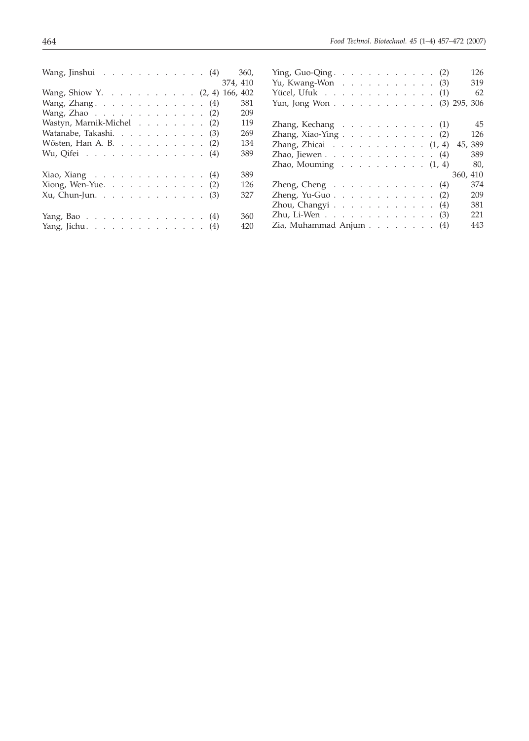| Wang, Jinshui $\ldots \ldots \ldots \ldots \ldots (4)$                 | 126                                                                    |
|------------------------------------------------------------------------|------------------------------------------------------------------------|
| 360,                                                                   | Ying, Guo-Qing. $\ldots$ $\ldots$ $\ldots$ $\ldots$ $\ldots$ (2)       |
| 374, 410                                                               | 319                                                                    |
|                                                                        | Yu, Kwang-Won $\ldots$ $\ldots$ $\ldots$ $\ldots$ $\ldots$ (3)         |
| Wang, Shiow Y. (2, 4) 166, 402                                         | 62<br>Yücel, Ufuk (1)                                                  |
| 381<br>Wang, Zhang. $\ldots$ $\ldots$ $\ldots$ $\ldots$ $\ldots$ (4)   | Yun, Jong Won (3) 295, 306                                             |
| 209<br>Wang, Zhao $\ldots$ $\ldots$ $\ldots$ $\ldots$ $\ldots$ $(2)$   |                                                                        |
| 119                                                                    | 45                                                                     |
| Wastyn, Marnik-Michel (2)                                              | Zhang, Kechang $\ldots$ $\ldots$ $\ldots$ $\ldots$ $(1)$               |
| Watanabe, Takashi. (3)                                                 | 126                                                                    |
| 269                                                                    | Zhang, Xiao-Ying $\ldots$ , $\ldots$ , $\ldots$ , $(2)$                |
| Wösten, Han A. B. (2)                                                  | 45, 389                                                                |
| 134                                                                    | Zhang, Zhicai $\ldots \ldots \ldots \ldots \ldots (1, 4)$              |
| 389                                                                    | 389                                                                    |
| Wu, Qifei $\cdots$ $\cdots$ $\cdots$ $\cdots$ $\cdots$ $\cdots$ $(4)$  | Zhao, Jiewen $\ldots$ $\ldots$ $\ldots$ $\ldots$ $\ldots$ $\ldots$ (4) |
|                                                                        | 80,<br>Zhao, Mouming $\ldots \ldots \ldots \ldots (1, 4)$              |
| 389                                                                    |                                                                        |
| Xiao, Xiang $\ldots \ldots \ldots \ldots \ldots (4)$                   | 360, 410                                                               |
| 126                                                                    | 374                                                                    |
| Xiong, Wen-Yue. (2)                                                    | Zheng, Cheng $\ldots$ $\ldots$ $\ldots$ $\ldots$ $\ldots$ (4)          |
| $Xu$ , Chun-Jun. 3                                                     | 209                                                                    |
| 327                                                                    | Zheng, Yu-Guo. (2)                                                     |
|                                                                        | 381<br>Zhou, Changyi (4)                                               |
| 360                                                                    | 221                                                                    |
| Yang, Bao (4)                                                          | Zhu, Li-Wen (3)                                                        |
| 420                                                                    | 443                                                                    |
| Yang, Jichu. $\ldots$ $\ldots$ $\ldots$ $\ldots$ $\ldots$ $\ldots$ (4) | Zia, Muhammad Anjum (4)                                                |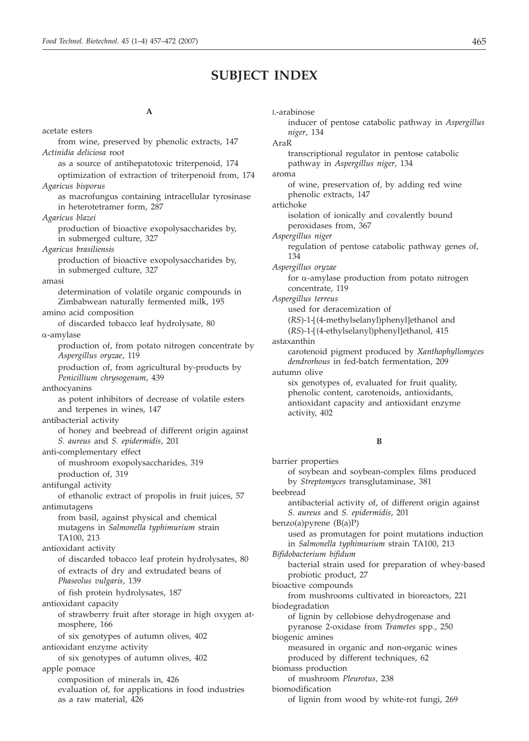## **SUBJECT INDEX**

#### **A**

acetate esters from wine, preserved by phenolic extracts, 147 *Actinidia deliciosa* root as a source of antihepatotoxic triterpenoid, 174 optimization of extraction of triterpenoid from, 174 *Agaricus bisporus* as macrofungus containing intracellular tyrosinase in heterotetramer form, 287 *Agaricus blazei* production of bioactive exopolysaccharides by, in submerged culture, 327 *Agaricus brasiliensis* production of bioactive exopolysaccharides by, in submerged culture, 327 amasi determination of volatile organic compounds in Zimbabwean naturally fermented milk, 195 amino acid composition of discarded tobacco leaf hydrolysate, 80 a-amylase production of, from potato nitrogen concentrate by *Aspergillus oryzae*, 119 production of, from agricultural by-products by *Penicillium chrysogenum*, 439 anthocyanins as potent inhibitors of decrease of volatile esters and terpenes in wines, 147 antibacterial activity of honey and beebread of different origin against *S. aureus* and *S. epidermidis*, 201 anti-complementary effect of mushroom exopolysaccharides, 319 production of, 319 antifungal activity of ethanolic extract of propolis in fruit juices, 57 antimutagens from basil, against physical and chemical mutagens in *Salmonella typhimurium* strain TA100, 213 antioxidant activity of discarded tobacco leaf protein hydrolysates, 80 of extracts of dry and extrudated beans of *Phaseolus vulgaris*, 139 of fish protein hydrolysates, 187 antioxidant capacity of strawberry fruit after storage in high oxygen atmosphere, 166 of six genotypes of autumn olives, 402 antioxidant enzyme activity of six genotypes of autumn olives, 402 apple pomace composition of minerals in, 426 evaluation of, for applications in food industries as a raw material, 426

L-arabinose inducer of pentose catabolic pathway in *Aspergillus niger*, 134 AraR transcriptional regulator in pentose catabolic pathway in *Aspergillus niger*, 134 aroma of wine, preservation of, by adding red wine phenolic extracts, 147 artichoke isolation of ionically and covalently bound peroxidases from, 367 *Aspergillus niger* regulation of pentose catabolic pathway genes of, 134 *Aspergillus oryzae* for  $\alpha$ -amylase production from potato nitrogen concentrate, 119 *Aspergillus terreus* used for deracemization of (*RS*)-1-[(4-methylselanyl)phenyl]ethanol and (*RS*)-1-[(4-ethylselanyl)phenyl]ethanol, 415 astaxanthin carotenoid pigment produced by *Xanthophyllomyces dendrorhous* in fed-batch fermentation, 209 autumn olive six genotypes of, evaluated for fruit quality, phenolic content, carotenoids, antioxidants, antioxidant capacity and antioxidant enzyme activity, 402

#### **B**

barrier properties of soybean and soybean-complex films produced by *Streptomyces* transglutaminase, 381 beebread antibacterial activity of, of different origin against *S. aureus* and *S. epidermidis*, 201 benzo(a)pyrene (B(a)P) used as promutagen for point mutations induction in *Salmonella typhimurium* strain TA100, 213 *Bifidobacterium bifidum* bacterial strain used for preparation of whey-based probiotic product, 27 bioactive compounds from mushrooms cultivated in bioreactors, 221 biodegradation of lignin by cellobiose dehydrogenase and pyranose 2-oxidase from *Trametes* spp., 250 biogenic amines measured in organic and non-organic wines produced by different techniques, 62 biomass production of mushroom *Pleurotus*, 238 biomodification of lignin from wood by white-rot fungi, 269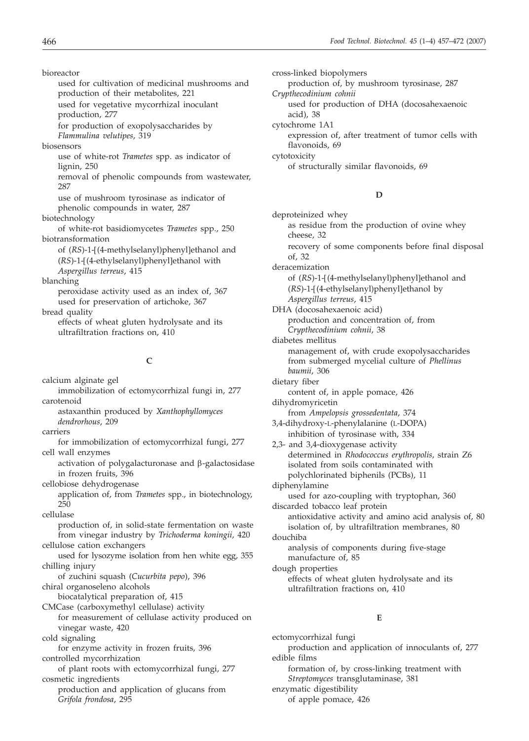bioreactor used for cultivation of medicinal mushrooms and production of their metabolites, 221 used for vegetative mycorrhizal inoculant production, 277 for production of exopolysaccharides by *Flammulina velutipes*, 319 biosensors use of white-rot *Trametes* spp. as indicator of lignin, 250 removal of phenolic compounds from wastewater, 287 use of mushroom tyrosinase as indicator of phenolic compounds in water, 287 biotechnology of white-rot basidiomycetes *Trametes* spp., 250 biotransformation of (*RS*)-1-[(4-methylselanyl)phenyl]ethanol and (*RS*)-1-[(4-ethylselanyl)phenyl]ethanol with *Aspergillus terreus*, 415 blanching peroxidase activity used as an index of, 367 used for preservation of artichoke, 367

bread quality

effects of wheat gluten hydrolysate and its ultrafiltration fractions on, 410

#### **C**

- calcium alginate gel
- immobilization of ectomycorrhizal fungi in, 277 carotenoid
	- astaxanthin produced by *Xanthophyllomyces dendrorhous*, 209
- carriers
- for immobilization of ectomycorrhizal fungi, 277 cell wall enzymes
	- activation of polygalacturonase and  $\beta$ -galactosidase in frozen fruits, 396

cellobiose dehydrogenase

application of, from *Trametes* spp., in biotechnology, 250

cellulase

production of, in solid-state fermentation on waste from vinegar industry by *Trichoderma koningii*, 420 cellulose cation exchangers

used for lysozyme isolation from hen white egg, 355 chilling injury

of zuchini squash (*Cucurbita pepo*), 396 chiral organoseleno alcohols

biocatalytical preparation of, 415

CMCase (carboxymethyl cellulase) activity

for measurement of cellulase activity produced on vinegar waste, 420

cold signaling

for enzyme activity in frozen fruits, 396 controlled mycorrhization

of plant roots with ectomycorrhizal fungi, 277 cosmetic ingredients

production and application of glucans from *Grifola frondosa*, 295

cross-linked biopolymers production of, by mushroom tyrosinase, 287 *Crypthecodinium cohnii* used for production of DHA (docosahexaenoic acid), 38 cytochrome 1A1 expression of, after treatment of tumor cells with flavonoids, 69 cytotoxicity of structurally similar flavonoids, 69

#### **D**

deproteinized whey as residue from the production of ovine whey cheese, 32 recovery of some components before final disposal of, 32 deracemization of (*RS*)-1-[(4-methylselanyl)phenyl]ethanol and (*RS*)-1-[(4-ethylselanyl)phenyl]ethanol by *Aspergillus terreus*, 415 DHA (docosahexaenoic acid) production and concentration of, from *Crypthecodinium cohnii*, 38 diabetes mellitus management of, with crude exopolysaccharides from submerged mycelial culture of *Phellinus baumii*, 306 dietary fiber content of, in apple pomace, 426 dihydromyricetin from *Ampelopsis grossedentata*, 374 3,4-dihydroxy-L-phenylalanine (L-DOPA) inhibition of tyrosinase with, 334 2,3- and 3,4-dioxygenase activity determined in *Rhodococcus erythropolis*, strain Z6 isolated from soils contaminated with polychlorinated biphenils (PCBs), 11 diphenylamine used for azo-coupling with tryptophan, 360 discarded tobacco leaf protein antioxidative activity and amino acid analysis of, 80 isolation of, by ultrafiltration membranes, 80 douchiba analysis of components during five-stage manufacture of, 85 dough properties effects of wheat gluten hydrolysate and its ultrafiltration fractions on, 410

#### **E**

ectomycorrhizal fungi production and application of innoculants of, 277 edible films formation of, by cross-linking treatment with *Streptomyces* transglutaminase, 381 enzymatic digestibility of apple pomace, 426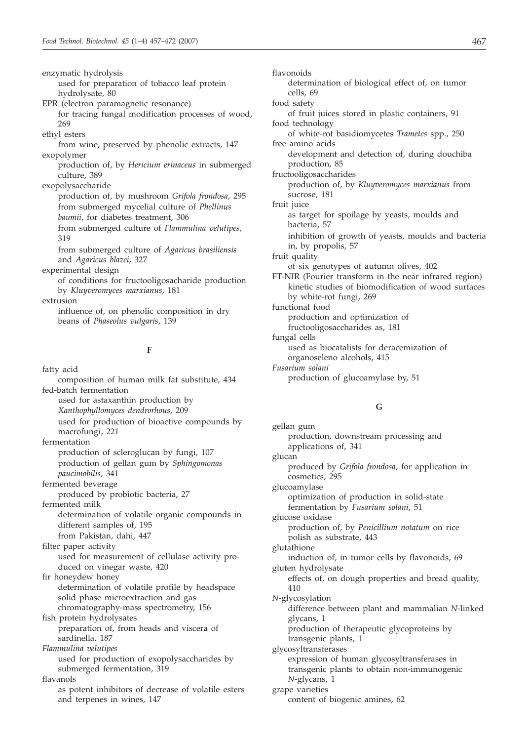enzymatic hydrolysis used for preparation of tobacco leaf protein hydrolysate, 80 EPR (electron paramagnetic resonance) for tracing fungal modification processes of wood, 269 ethyl esters from wine, preserved by phenolic extracts, 147 exopolymer production of, by *Hericium erinaceus* in submerged culture, 389 exopolysaccharide production of, by mushroom *Grifola frondosa*, 295 from submerged mycelial culture of *Phellinus baumii*, for diabetes treatment, 306 from submerged culture of *Flammulina velutipes,* 319 from submerged culture of *Agaricus brasiliensis* and *Agaricus blazei*, 327 experimental design of conditions for fructooligosacharide production by *Kluyveromyces marxianus*, 181 extrusion influence of, on phenolic composition in dry beans of *Phaseolus vulgaris*, 139

#### **F**

fatty acid composition of human milk fat substitute, 434 fed-batch fermentation used for astaxanthin production by *Xanthophyllomyces dendrorhous*, 209 used for production of bioactive compounds by macrofungi, 221 fermentation production of scleroglucan by fungi, 107 production of gellan gum by *Sphingomonas paucimobilis*, 341 fermented beverage produced by probiotic bacteria, 27 fermented milk determination of volatile organic compounds in different samples of, 195 from Pakistan, dahi, 447 filter paper activity used for measurement of cellulase activity produced on vinegar waste, 420 fir honeydew honey determination of volatile profile by headspace solid phase microextraction and gas chromatography-mass spectrometry, 156 fish protein hydrolysates preparation of, from heads and viscera of sardinella, 187 *Flammulina velutipes* used for production of exopolysaccharides by submerged fermentation, 319 flavanols as potent inhibitors of decrease of volatile esters and terpenes in wines, 147

flavonoids determination of biological effect of, on tumor cells, 69 food safety of fruit juices stored in plastic containers, 91 food technology of white-rot basidiomycetes *Trametes* spp., 250 free amino acids development and detection of, during douchiba production, 85 fructooligosaccharides production of, by *Kluyveromyces marxianus* from sucrose, 181 fruit juice as target for spoilage by yeasts, moulds and bacteria, 57 inhibition of growth of yeasts, moulds and bacteria in, by propolis, 57 fruit quality of six genotypes of autumn olives, 402 FT-NIR (Fourier transform in the near infrared region) kinetic studies of biomodification of wood surfaces by white-rot fungi, 269 functional food production and optimization of fructooligosaccharides as, 181 fungal cells used as biocatalists for deracemization of organoseleno alcohols, 415 *Fusarium solani* production of glucoamylase by, 51

#### **G**

gellan gum production, downstream processing and applications of, 341 glucan produced by *Grifola frondosa*, for application in cosmetics, 295 glucoamylase optimization of production in solid-state fermentation by *Fusarium solani*, 51 glucose oxidase production of, by *Penicillium notatum* on rice polish as substrate, 443 glutathione induction of, in tumor cells by flavonoids, 69 gluten hydrolysate effects of, on dough properties and bread quality, 410 *N*-glycosylation difference between plant and mammalian *N*-linked glycans, 1 production of therapeutic glycoproteins by transgenic plants, 1 glycosyltransferases expression of human glycosyltransferases in transgenic plants to obtain non-immunogenic *N*-glycans, 1 grape varieties content of biogenic amines, 62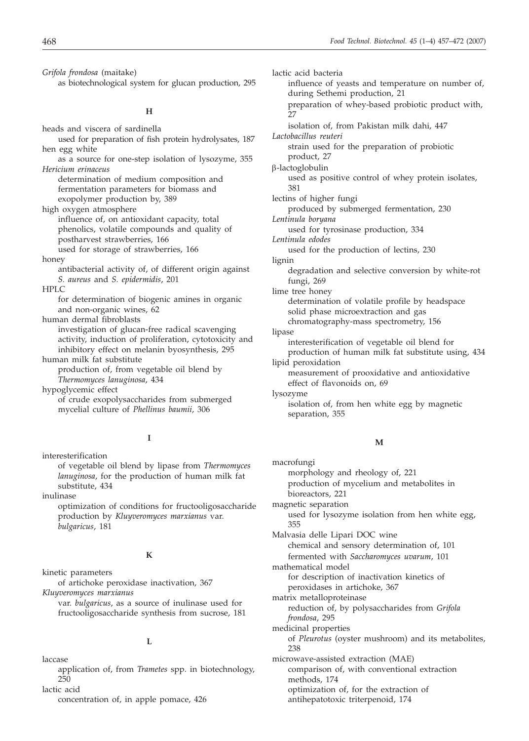*Grifola frondosa* (maitake) as biotechnological system for glucan production, 295

#### **H**

heads and viscera of sardinella

used for preparation of fish protein hydrolysates, 187 hen egg white

as a source for one-step isolation of lysozyme, 355 *Hericium erinaceus*

determination of medium composition and fermentation parameters for biomass and exopolymer production by, 389

high oxygen atmosphere

influence of, on antioxidant capacity, total phenolics, volatile compounds and quality of postharvest strawberries, 166

used for storage of strawberries, 166

honey

antibacterial activity of, of different origin against *S. aureus* and *S. epidermidis*, 201

HPLC

for determination of biogenic amines in organic and non-organic wines, 62

human dermal fibroblasts

investigation of glucan-free radical scavenging activity, induction of proliferation, cytotoxicity and inhibitory effect on melanin byosynthesis, 295 human milk fat substitute

production of, from vegetable oil blend by *Thermomyces lanuginosa*, 434

hypoglycemic effect of crude exopolysaccharides from submerged mycelial culture of *Phellinus baumii*, 306

#### **I**

interesterification of vegetable oil blend by lipase from *Thermomyces lanuginosa*, for the production of human milk fat substitute, 434

inulinase

optimization of conditions for fructooligosaccharide production by *Kluyveromyces marxianus* var. *bulgaricus*, 181

#### **K**

kinetic parameters of artichoke peroxidase inactivation, 367 *Kluyveromyces marxianus*

var. *bulgaricus*, as a source of inulinase used for fructooligosaccharide synthesis from sucrose, 181

#### **L**

laccase

application of, from *Trametes* spp. in biotechnology, 250

lactic acid

concentration of, in apple pomace, 426

lactic acid bacteria influence of yeasts and temperature on number of, during Sethemi production, 21 preparation of whey-based probiotic product with, 27 isolation of, from Pakistan milk dahi, 447 *Lactobacillus reuteri* strain used for the preparation of probiotic product, 27  $\beta$ -lactoglobulin used as positive control of whey protein isolates, 381 lectins of higher fungi produced by submerged fermentation, 230 *Lentinula boryana* used for tyrosinase production, 334 *Lentinula edodes* used for the production of lectins, 230 lignin degradation and selective conversion by white-rot fungi, 269 lime tree honey determination of volatile profile by headspace solid phase microextraction and gas chromatography-mass spectrometry, 156 lipase interesterification of vegetable oil blend for production of human milk fat substitute using, 434 lipid peroxidation measurement of prooxidative and antioxidative effect of flavonoids on, 69 lysozyme isolation of, from hen white egg by magnetic separation, 355

#### **M**

macrofungi morphology and rheology of, 221 production of mycelium and metabolites in bioreactors, 221 magnetic separation used for lysozyme isolation from hen white egg, 355 Malvasia delle Lipari DOC wine chemical and sensory determination of, 101 fermented with *Saccharomyces uvarum*, 101 mathematical model for description of inactivation kinetics of peroxidases in artichoke, 367 matrix metalloproteinase reduction of, by polysaccharides from *Grifola frondosa*, 295 medicinal properties of *Pleurotus* (oyster mushroom) and its metabolites, 238 microwave-assisted extraction (MAE) comparison of, with conventional extraction methods, 174 optimization of, for the extraction of antihepatotoxic triterpenoid, 174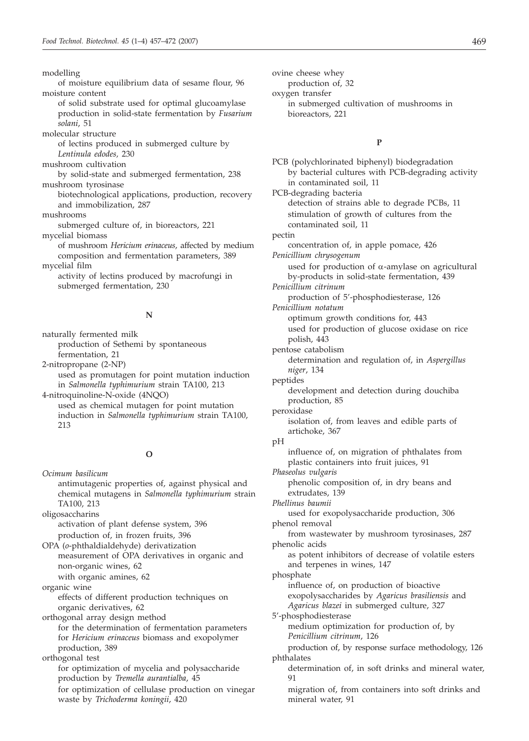modelling

of moisture equilibrium data of sesame flour, 96 moisture content

- of solid substrate used for optimal glucoamylase production in solid-state fermentation by *Fusarium solani*, 51
- molecular structure

of lectins produced in submerged culture by *Lentinula edodes,* 230

mushroom cultivation

by solid-state and submerged fermentation, 238 mushroom tyrosinase

biotechnological applications, production, recovery and immobilization, 287

mushrooms

submerged culture of, in bioreactors, 221

mycelial biomass

of mushroom *Hericium erinaceus*, affected by medium composition and fermentation parameters, 389 mycelial film

activity of lectins produced by macrofungi in submerged fermentation, 230

#### **N**

naturally fermented milk production of Sethemi by spontaneous fermentation, 21 2-nitropropane (2-NP) used as promutagen for point mutation induction

in *Salmonella typhimurium* strain TA100, 213 4-nitroquinoline-N-oxide (4NQO) used as chemical mutagen for point mutation

induction in *Salmonella typhimurium* strain TA100, 213

#### **O**

*Ocimum basilicum* antimutagenic properties of, against physical and chemical mutagens in *Salmonella typhimurium* strain TA100, 213 oligosaccharins

activation of plant defense system, 396 production of, in frozen fruits, 396

OPA (*o*-phthaldialdehyde) derivatization measurement of OPA derivatives in organic and non-organic wines, 62

with organic amines, 62

organic wine effects of different production techniques on organic derivatives, 62

orthogonal array design method

for the determination of fermentation parameters for *Hericium erinaceus* biomass and exopolymer production, 389

orthogonal test for optimization of mycelia and polysaccharide production by *Tremella aurantialba*, 45 for optimization of cellulase production on vinegar waste by *Trichoderma koningii*, 420

ovine cheese whey

production of, 32

oxygen transfer in submerged cultivation of mushrooms in bioreactors, 221

#### **P**

PCB (polychlorinated biphenyl) biodegradation by bacterial cultures with PCB-degrading activity in contaminated soil, 11 PCB-degrading bacteria detection of strains able to degrade PCBs, 11 stimulation of growth of cultures from the contaminated soil, 11 pectin concentration of, in apple pomace, 426 *Penicillium chrysogenum* used for production of  $\alpha$ -amylase on agricultural by-products in solid-state fermentation, 439 *Penicillium citrinum* production of 5'-phosphodiesterase, 126 *Penicillium notatum* optimum growth conditions for, 443 used for production of glucose oxidase on rice polish, 443 pentose catabolism determination and regulation of, in *Aspergillus niger*, 134 peptides development and detection during douchiba production, 85 peroxidase isolation of, from leaves and edible parts of artichoke, 367 pH influence of, on migration of phthalates from plastic containers into fruit juices, 91 *Phaseolus vulgaris* phenolic composition of, in dry beans and extrudates, 139 *Phellinus baumii* used for exopolysaccharide production, 306 phenol removal from wastewater by mushroom tyrosinases, 287 phenolic acids as potent inhibitors of decrease of volatile esters and terpenes in wines, 147 phosphate influence of, on production of bioactive exopolysaccharides by *Agaricus brasiliensis* and *Agaricus blazei* in submerged culture, 327 5'-phosphodiesterase medium optimization for production of, by *Penicillium citrinum*, 126 production of, by response surface methodology, 126 phthalates determination of, in soft drinks and mineral water, 91 migration of, from containers into soft drinks and mineral water, 91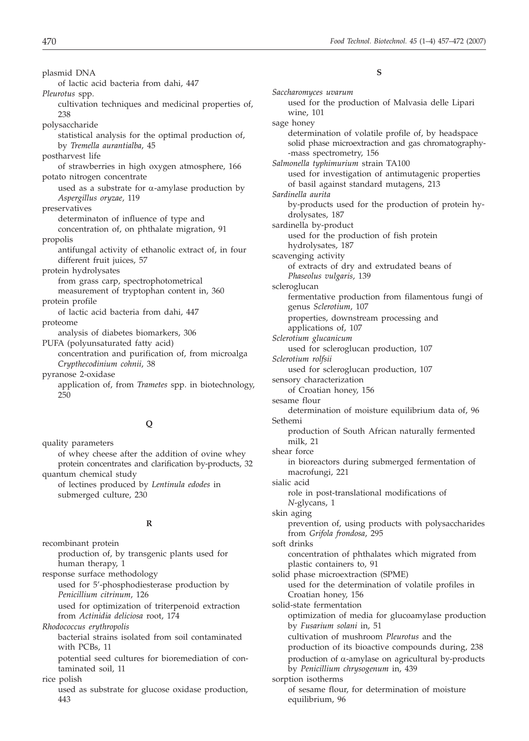plasmid DNA of lactic acid bacteria from dahi, 447 *Pleurotus* spp. cultivation techniques and medicinal properties of, 238 polysaccharide statistical analysis for the optimal production of, by *Tremella aurantialba*, 45 postharvest life of strawberries in high oxygen atmosphere, 166 potato nitrogen concentrate used as a substrate for  $\alpha$ -amylase production by *Aspergillus oryzae*, 119 preservatives determinaton of influence of type and concentration of, on phthalate migration, 91 propolis antifungal activity of ethanolic extract of, in four different fruit juices, 57 protein hydrolysates from grass carp, spectrophotometrical measurement of tryptophan content in, 360 protein profile of lactic acid bacteria from dahi, 447 proteome analysis of diabetes biomarkers, 306 PUFA (polyunsaturated fatty acid) concentration and purification of, from microalga *Crypthecodinium cohnii*, 38 pyranose 2-oxidase application of, from *Trametes* spp. in biotechnology, 250

#### **Q**

quality parameters of whey cheese after the addition of ovine whey protein concentrates and clarification by-products, 32 quantum chemical study of lectines produced by *Lentinula edodes* in submerged culture, 230

#### **R**

recombinant protein production of, by transgenic plants used for human therapy, 1 response surface methodology used for 5'-phosphodiesterase production by *Penicillium citrinum*, 126 used for optimization of triterpenoid extraction from *Actinidia deliciosa* root, 174 *Rhodococcus erythropolis* bacterial strains isolated from soil contaminated with PCBs, 11 potential seed cultures for bioremediation of contaminated soil, 11 rice polish used as substrate for glucose oxidase production, 443

#### **S**

| Saccharomyces uvarum                                                                                                                 |
|--------------------------------------------------------------------------------------------------------------------------------------|
| used for the production of Malvasia delle Lipari<br>wine, 101                                                                        |
| sage honey                                                                                                                           |
| determination of volatile profile of, by headspace<br>solid phase microextraction and gas chromatography-<br>-mass spectrometry, 156 |
| Salmonella typhimurium strain TA100                                                                                                  |
| used for investigation of antimutagenic properties<br>of basil against standard mutagens, 213                                        |
| Sardinella aurita                                                                                                                    |
| by-products used for the production of protein hy-<br>drolysates, 187                                                                |
| sardinella by-product                                                                                                                |
| used for the production of fish protein<br>hydrolysates, 187                                                                         |
| scavenging activity                                                                                                                  |
| of extracts of dry and extrudated beans of<br>Phaseolus vulgaris, 139                                                                |
| scleroglucan                                                                                                                         |
| fermentative production from filamentous fungi of<br>genus Sclerotium, 107                                                           |
| properties, downstream processing and<br>applications of, 107                                                                        |
| Sclerotium glucanicum                                                                                                                |
| used for scleroglucan production, 107                                                                                                |
| Sclerotium rolfsii                                                                                                                   |
| used for scleroglucan production, 107                                                                                                |
| sensory characterization                                                                                                             |
|                                                                                                                                      |
| of Croatian honey, 156                                                                                                               |
| sesame flour                                                                                                                         |
| determination of moisture equilibrium data of, 96<br>Sethemi                                                                         |
|                                                                                                                                      |
| production of South African naturally fermented<br>milk, 21                                                                          |
| shear force                                                                                                                          |
| in bioreactors during submerged fermentation of<br>macrofungi, 221                                                                   |
| sialic acid                                                                                                                          |
| role in post-translational modifications of<br>N-glycans, 1                                                                          |
| skin aging                                                                                                                           |
| prevention of, using products with polysaccharides<br>from Grifola frondosa, 295                                                     |
| soft drinks                                                                                                                          |
| concentration of phthalates which migrated from                                                                                      |
| plastic containers to, 91                                                                                                            |
| solid phase microextraction (SPME)                                                                                                   |
| used for the determination of volatile profiles in                                                                                   |
| Croatian honey, 156                                                                                                                  |
| solid-state fermentation                                                                                                             |
| optimization of media for glucoamylase production                                                                                    |
| by Fusarium solani in, 51                                                                                                            |
| cultivation of mushroom Pleurotus and the                                                                                            |
| production of its bioactive compounds during, 238                                                                                    |
| production of $\alpha$ -amylase on agricultural by-products                                                                          |
| by Penicillium chrysogenum in, 439                                                                                                   |
| sorption isotherms                                                                                                                   |
| of sesame flour, for determination of moisture                                                                                       |
| equilibrium, 96                                                                                                                      |
|                                                                                                                                      |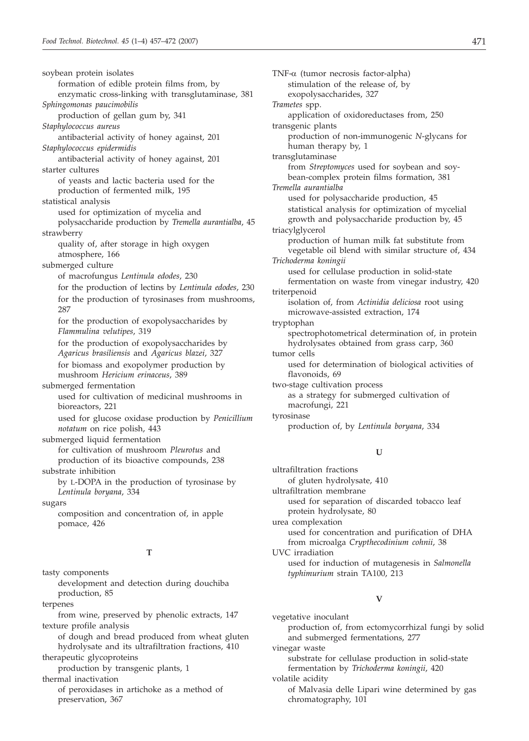soybean protein isolates formation of edible protein films from, by enzymatic cross-linking with transglutaminase, 381 *Sphingomonas paucimobilis* production of gellan gum by, 341 *Staphylococcus aureus* antibacterial activity of honey against, 201 *Staphylococcus epidermidis* antibacterial activity of honey against, 201 starter cultures of yeasts and lactic bacteria used for the production of fermented milk, 195 statistical analysis used for optimization of mycelia and polysaccharide production by *Tremella aurantialba*, 45 strawberry quality of, after storage in high oxygen atmosphere, 166 submerged culture of macrofungus *Lentinula edodes*, 230 for the production of lectins by *Lentinula edodes*, 230 for the production of tyrosinases from mushrooms, 287 for the production of exopolysaccharides by *Flammulina velutipes*, 319 for the production of exopolysaccharides by *Agaricus brasiliensis* and *Agaricus blazei*, 327 for biomass and exopolymer production by mushroom *Hericium erinaceus*, 389 submerged fermentation used for cultivation of medicinal mushrooms in bioreactors, 221 used for glucose oxidase production by *Penicillium notatum* on rice polish, 443 submerged liquid fermentation for cultivation of mushroom *Pleurotus* and production of its bioactive compounds, 238 substrate inhibition by L-DOPA in the production of tyrosinase by *Lentinula boryana*, 334 sugars composition and concentration of, in apple pomace, 426

#### **T**

tasty components development and detection during douchiba production, 85

terpenes

from wine, preserved by phenolic extracts, 147 texture profile analysis

of dough and bread produced from wheat gluten hydrolysate and its ultrafiltration fractions, 410 therapeutic glycoproteins

production by transgenic plants, 1

thermal inactivation

of peroxidases in artichoke as a method of preservation, 367

TNF-a (tumor necrosis factor-alpha) stimulation of the release of, by exopolysaccharides, 327 *Trametes* spp. application of oxidoreductases from, 250 transgenic plants production of non-immunogenic *N*-glycans for human therapy by, 1 transglutaminase from *Streptomyces* used for soybean and soybean-complex protein films formation, 381 *Tremella aurantialba* used for polysaccharide production, 45 statistical analysis for optimization of mycelial growth and polysaccharide production by, 45 triacylglycerol production of human milk fat substitute from vegetable oil blend with similar structure of, 434 *Trichoderma koningii* used for cellulase production in solid-state fermentation on waste from vinegar industry, 420 triterpenoid isolation of, from *Actinidia deliciosa* root using microwave-assisted extraction, 174 tryptophan spectrophotometrical determination of, in protein hydrolysates obtained from grass carp, 360 tumor cells used for determination of biological activities of flavonoids, 69 two-stage cultivation process as a strategy for submerged cultivation of macrofungi, 221 tyrosinase production of, by *Lentinula boryana*, 334 **U**

ultrafiltration fractions of gluten hydrolysate, 410 ultrafiltration membrane used for separation of discarded tobacco leaf protein hydrolysate, 80 urea complexation used for concentration and purification of DHA from microalga *Crypthecodinium cohnii*, 38 UVC irradiation used for induction of mutagenesis in *Salmonella typhimurium* strain TA100, 213

#### **V**

vegetative inoculant production of, from ectomycorrhizal fungi by solid and submerged fermentations, 277 vinegar waste

substrate for cellulase production in solid-state fermentation by *Trichoderma koningii*, 420

volatile acidity

of Malvasia delle Lipari wine determined by gas chromatography, 101